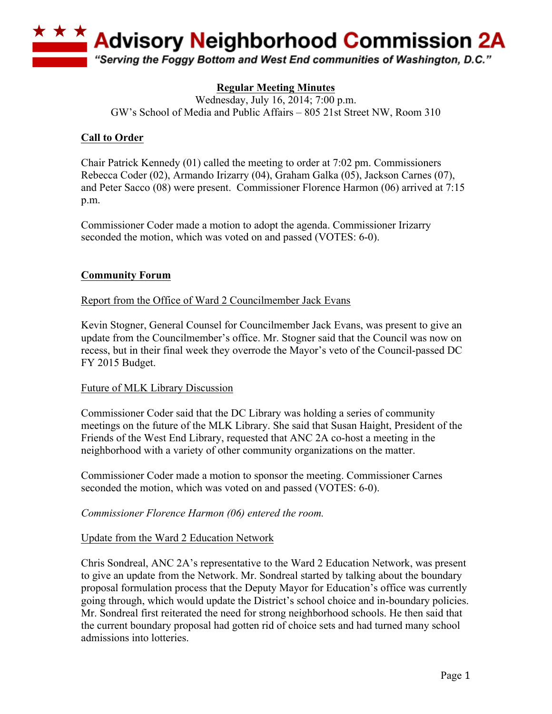

# **Regular Meeting Minutes**

Wednesday, July 16, 2014; 7:00 p.m. GW's School of Media and Public Affairs – 805 21st Street NW, Room 310

# **Call to Order**

Chair Patrick Kennedy (01) called the meeting to order at 7:02 pm. Commissioners Rebecca Coder (02), Armando Irizarry (04), Graham Galka (05), Jackson Carnes (07), and Peter Sacco (08) were present. Commissioner Florence Harmon (06) arrived at 7:15 p.m.

Commissioner Coder made a motion to adopt the agenda. Commissioner Irizarry seconded the motion, which was voted on and passed (VOTES: 6-0).

# **Community Forum**

Report from the Office of Ward 2 Councilmember Jack Evans

Kevin Stogner, General Counsel for Councilmember Jack Evans, was present to give an update from the Councilmember's office. Mr. Stogner said that the Council was now on recess, but in their final week they overrode the Mayor's veto of the Council-passed DC FY 2015 Budget.

# Future of MLK Library Discussion

Commissioner Coder said that the DC Library was holding a series of community meetings on the future of the MLK Library. She said that Susan Haight, President of the Friends of the West End Library, requested that ANC 2A co-host a meeting in the neighborhood with a variety of other community organizations on the matter.

Commissioner Coder made a motion to sponsor the meeting. Commissioner Carnes seconded the motion, which was voted on and passed (VOTES: 6-0).

# *Commissioner Florence Harmon (06) entered the room.*

# Update from the Ward 2 Education Network

Chris Sondreal, ANC 2A's representative to the Ward 2 Education Network, was present to give an update from the Network. Mr. Sondreal started by talking about the boundary proposal formulation process that the Deputy Mayor for Education's office was currently going through, which would update the District's school choice and in-boundary policies. Mr. Sondreal first reiterated the need for strong neighborhood schools. He then said that the current boundary proposal had gotten rid of choice sets and had turned many school admissions into lotteries.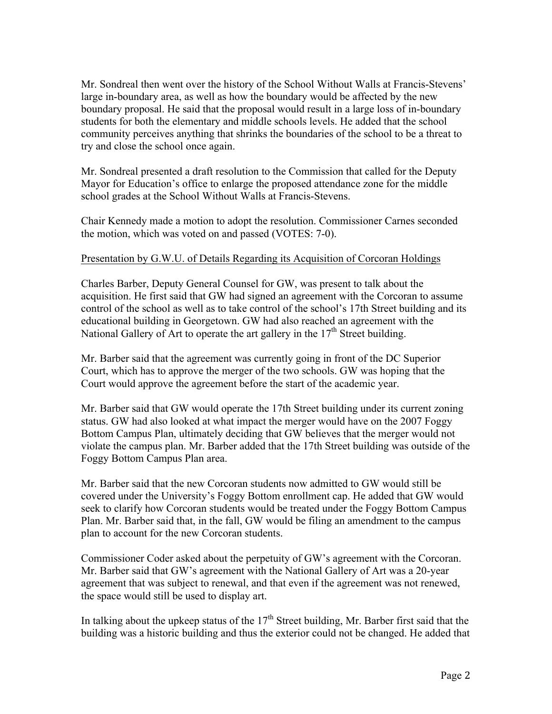Mr. Sondreal then went over the history of the School Without Walls at Francis-Stevens' large in-boundary area, as well as how the boundary would be affected by the new boundary proposal. He said that the proposal would result in a large loss of in-boundary students for both the elementary and middle schools levels. He added that the school community perceives anything that shrinks the boundaries of the school to be a threat to try and close the school once again.

Mr. Sondreal presented a draft resolution to the Commission that called for the Deputy Mayor for Education's office to enlarge the proposed attendance zone for the middle school grades at the School Without Walls at Francis-Stevens.

Chair Kennedy made a motion to adopt the resolution. Commissioner Carnes seconded the motion, which was voted on and passed (VOTES: 7-0).

### Presentation by G.W.U. of Details Regarding its Acquisition of Corcoran Holdings

Charles Barber, Deputy General Counsel for GW, was present to talk about the acquisition. He first said that GW had signed an agreement with the Corcoran to assume control of the school as well as to take control of the school's 17th Street building and its educational building in Georgetown. GW had also reached an agreement with the National Gallery of Art to operate the art gallery in the  $17<sup>th</sup>$  Street building.

Mr. Barber said that the agreement was currently going in front of the DC Superior Court, which has to approve the merger of the two schools. GW was hoping that the Court would approve the agreement before the start of the academic year.

Mr. Barber said that GW would operate the 17th Street building under its current zoning status. GW had also looked at what impact the merger would have on the 2007 Foggy Bottom Campus Plan, ultimately deciding that GW believes that the merger would not violate the campus plan. Mr. Barber added that the 17th Street building was outside of the Foggy Bottom Campus Plan area.

Mr. Barber said that the new Corcoran students now admitted to GW would still be covered under the University's Foggy Bottom enrollment cap. He added that GW would seek to clarify how Corcoran students would be treated under the Foggy Bottom Campus Plan. Mr. Barber said that, in the fall, GW would be filing an amendment to the campus plan to account for the new Corcoran students.

Commissioner Coder asked about the perpetuity of GW's agreement with the Corcoran. Mr. Barber said that GW's agreement with the National Gallery of Art was a 20-year agreement that was subject to renewal, and that even if the agreement was not renewed, the space would still be used to display art.

In talking about the upkeep status of the  $17<sup>th</sup>$  Street building, Mr. Barber first said that the building was a historic building and thus the exterior could not be changed. He added that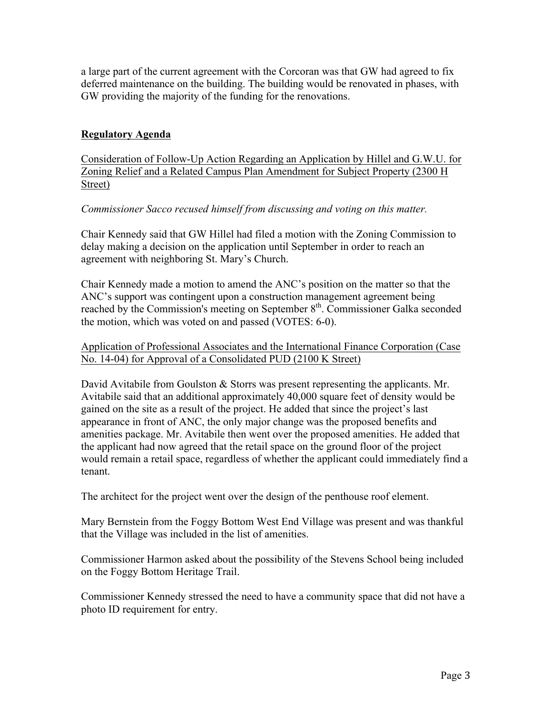a large part of the current agreement with the Corcoran was that GW had agreed to fix deferred maintenance on the building. The building would be renovated in phases, with GW providing the majority of the funding for the renovations.

# **Regulatory Agenda**

Consideration of Follow-Up Action Regarding an Application by Hillel and G.W.U. for Zoning Relief and a Related Campus Plan Amendment for Subject Property (2300 H Street)

# *Commissioner Sacco recused himself from discussing and voting on this matter.*

Chair Kennedy said that GW Hillel had filed a motion with the Zoning Commission to delay making a decision on the application until September in order to reach an agreement with neighboring St. Mary's Church.

Chair Kennedy made a motion to amend the ANC's position on the matter so that the ANC's support was contingent upon a construction management agreement being reached by the Commission's meeting on September 8<sup>th</sup>. Commissioner Galka seconded the motion, which was voted on and passed (VOTES: 6-0).

### Application of Professional Associates and the International Finance Corporation (Case No. 14-04) for Approval of a Consolidated PUD (2100 K Street)

David Avitabile from Goulston & Storrs was present representing the applicants. Mr. Avitabile said that an additional approximately 40,000 square feet of density would be gained on the site as a result of the project. He added that since the project's last appearance in front of ANC, the only major change was the proposed benefits and amenities package. Mr. Avitabile then went over the proposed amenities. He added that the applicant had now agreed that the retail space on the ground floor of the project would remain a retail space, regardless of whether the applicant could immediately find a tenant.

The architect for the project went over the design of the penthouse roof element.

Mary Bernstein from the Foggy Bottom West End Village was present and was thankful that the Village was included in the list of amenities.

Commissioner Harmon asked about the possibility of the Stevens School being included on the Foggy Bottom Heritage Trail.

Commissioner Kennedy stressed the need to have a community space that did not have a photo ID requirement for entry.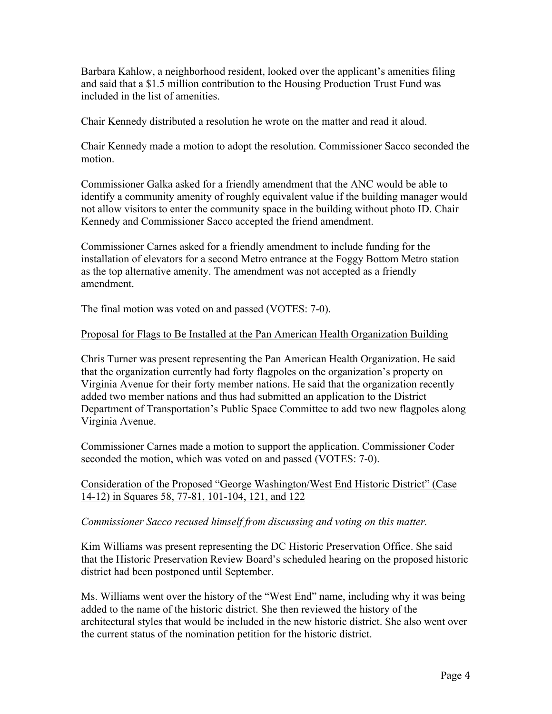Barbara Kahlow, a neighborhood resident, looked over the applicant's amenities filing and said that a \$1.5 million contribution to the Housing Production Trust Fund was included in the list of amenities.

Chair Kennedy distributed a resolution he wrote on the matter and read it aloud.

Chair Kennedy made a motion to adopt the resolution. Commissioner Sacco seconded the motion.

Commissioner Galka asked for a friendly amendment that the ANC would be able to identify a community amenity of roughly equivalent value if the building manager would not allow visitors to enter the community space in the building without photo ID. Chair Kennedy and Commissioner Sacco accepted the friend amendment.

Commissioner Carnes asked for a friendly amendment to include funding for the installation of elevators for a second Metro entrance at the Foggy Bottom Metro station as the top alternative amenity. The amendment was not accepted as a friendly amendment.

The final motion was voted on and passed (VOTES: 7-0).

### Proposal for Flags to Be Installed at the Pan American Health Organization Building

Chris Turner was present representing the Pan American Health Organization. He said that the organization currently had forty flagpoles on the organization's property on Virginia Avenue for their forty member nations. He said that the organization recently added two member nations and thus had submitted an application to the District Department of Transportation's Public Space Committee to add two new flagpoles along Virginia Avenue.

Commissioner Carnes made a motion to support the application. Commissioner Coder seconded the motion, which was voted on and passed (VOTES: 7-0).

### Consideration of the Proposed "George Washington/West End Historic District" (Case 14-12) in Squares 58, 77-81, 101-104, 121, and 122

### *Commissioner Sacco recused himself from discussing and voting on this matter.*

Kim Williams was present representing the DC Historic Preservation Office. She said that the Historic Preservation Review Board's scheduled hearing on the proposed historic district had been postponed until September.

Ms. Williams went over the history of the "West End" name, including why it was being added to the name of the historic district. She then reviewed the history of the architectural styles that would be included in the new historic district. She also went over the current status of the nomination petition for the historic district.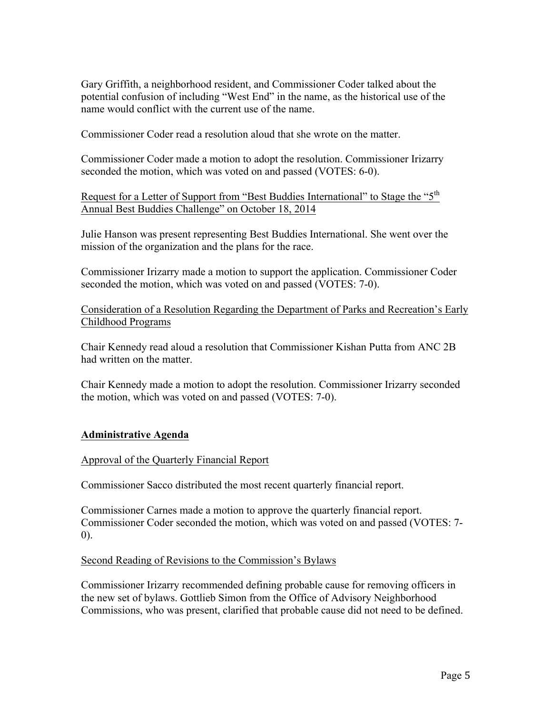Gary Griffith, a neighborhood resident, and Commissioner Coder talked about the potential confusion of including "West End" in the name, as the historical use of the name would conflict with the current use of the name.

Commissioner Coder read a resolution aloud that she wrote on the matter.

Commissioner Coder made a motion to adopt the resolution. Commissioner Irizarry seconded the motion, which was voted on and passed (VOTES: 6-0).

Request for a Letter of Support from "Best Buddies International" to Stage the "5<sup>th</sup> Annual Best Buddies Challenge" on October 18, 2014

Julie Hanson was present representing Best Buddies International. She went over the mission of the organization and the plans for the race.

Commissioner Irizarry made a motion to support the application. Commissioner Coder seconded the motion, which was voted on and passed (VOTES: 7-0).

Consideration of a Resolution Regarding the Department of Parks and Recreation's Early Childhood Programs

Chair Kennedy read aloud a resolution that Commissioner Kishan Putta from ANC 2B had written on the matter.

Chair Kennedy made a motion to adopt the resolution. Commissioner Irizarry seconded the motion, which was voted on and passed (VOTES: 7-0).

# **Administrative Agenda**

### Approval of the Quarterly Financial Report

Commissioner Sacco distributed the most recent quarterly financial report.

Commissioner Carnes made a motion to approve the quarterly financial report. Commissioner Coder seconded the motion, which was voted on and passed (VOTES: 7- 0).

### Second Reading of Revisions to the Commission's Bylaws

Commissioner Irizarry recommended defining probable cause for removing officers in the new set of bylaws. Gottlieb Simon from the Office of Advisory Neighborhood Commissions, who was present, clarified that probable cause did not need to be defined.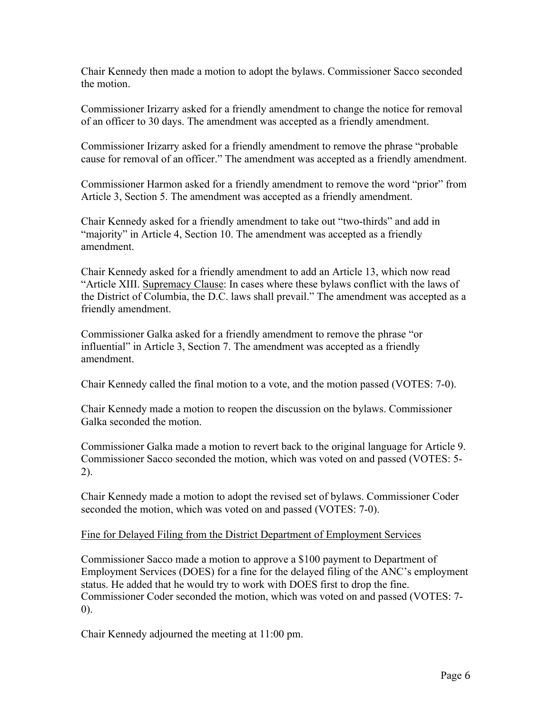Chair Kennedy then made a motion to adopt the bylaws. Commissioner Sacco seconded the motion.

Commissioner Irizarry asked for a friendly amendment to change the notice for removal of an officer to 30 days. The amendment was accepted as a friendly amendment.

Commissioner Irizarry asked for a friendly amendment to remove the phrase "probable cause for removal of an officer." The amendment was accepted as a friendly amendment.

Commissioner Harmon asked for a friendly amendment to remove the word "prior" from Article 3, Section 5. The amendment was accepted as a friendly amendment.

Chair Kennedy asked for a friendly amendment to take out "two-thirds" and add in "majority" in Article 4, Section 10. The amendment was accepted as a friendly amendment.

Chair Kennedy asked for a friendly amendment to add an Article 13, which now read "Article XIII. Supremacy Clause: In cases where these bylaws conflict with the laws of the District of Columbia, the D.C. laws shall prevail." The amendment was accepted as a friendly amendment.

Commissioner Galka asked for a friendly amendment to remove the phrase "or influential" in Article 3, Section 7. The amendment was accepted as a friendly amendment.

Chair Kennedy called the final motion to a vote, and the motion passed (VOTES: 7-0).

Chair Kennedy made a motion to reopen the discussion on the bylaws. Commissioner Galka seconded the motion.

Commissioner Galka made a motion to revert back to the original language for Article 9. Commissioner Sacco seconded the motion, which was voted on and passed (VOTES: 5- 2).

Chair Kennedy made a motion to adopt the revised set of bylaws. Commissioner Coder seconded the motion, which was voted on and passed (VOTES: 7-0).

# Fine for Delayed Filing from the District Department of Employment Services

Commissioner Sacco made a motion to approve a \$100 payment to Department of Employment Services (DOES) for a fine for the delayed filing of the ANC's employment status. He added that he would try to work with DOES first to drop the fine. Commissioner Coder seconded the motion, which was voted on and passed (VOTES: 7- 0).

Chair Kennedy adjourned the meeting at 11:00 pm.